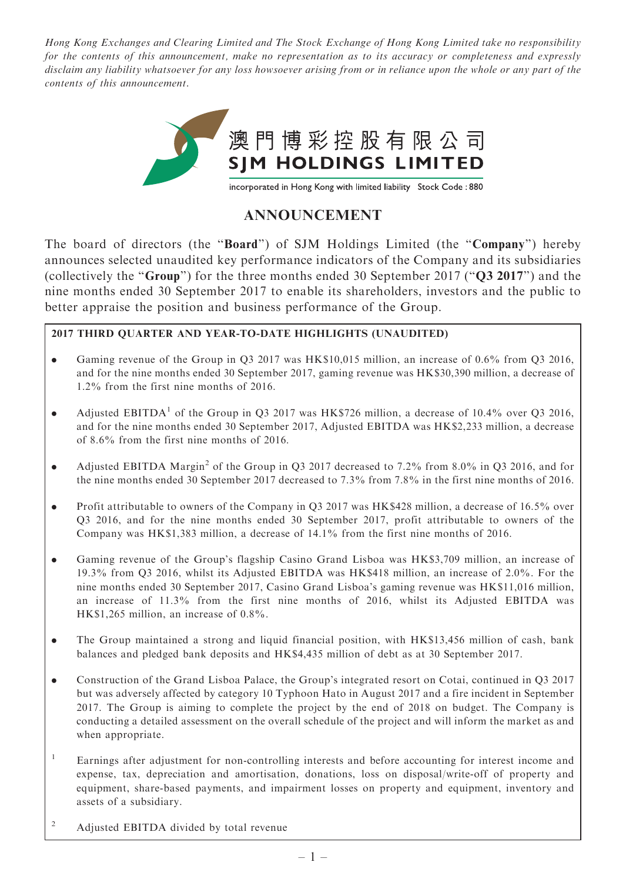Hong Kong Exchanges and Clearing Limited and The Stock Exchange of Hong Kong Limited take no responsibility for the contents of this announcement, make no representation as to its accuracy or completeness and expressly disclaim any liability whatsoever for any loss howsoever arising from or in reliance upon the whole or any part of the contents of this announcement.



## ANNOUNCEMENT

The board of directors (the "**Board**") of SJM Holdings Limited (the "Company") hereby announces selected unaudited key performance indicators of the Company and its subsidiaries (collectively the ''Group'') for the three months ended 30 September 2017 (''Q3 2017'') and the nine months ended 30 September 2017 to enable its shareholders, investors and the public to better appraise the position and business performance of the Group.

## 2017 THIRD QUARTER AND YEAR-TO-DATE HIGHLIGHTS (UNAUDITED)

- . Gaming revenue of the Group in Q3 2017 was HK\$10,015 million, an increase of 0.6% from Q3 2016, and for the nine months ended 30 September 2017, gaming revenue was HK\$30,390 million, a decrease of 1.2% from the first nine months of 2016.
- Adjusted EBITDA<sup>1</sup> of the Group in Q3 2017 was HK\$726 million, a decrease of 10.4% over Q3 2016, and for the nine months ended 30 September 2017, Adjusted EBITDA was HK\$2,233 million, a decrease of 8.6% from the first nine months of 2016.
- Adjusted EBITDA Margin<sup>2</sup> of the Group in Q3 2017 decreased to 7.2% from 8.0% in Q3 2016, and for the nine months ended 30 September 2017 decreased to 7.3% from 7.8% in the first nine months of 2016.
- . Profit attributable to owners of the Company in Q3 2017 was HK\$428 million, a decrease of 16.5% over Q3 2016, and for the nine months ended 30 September 2017, profit attributable to owners of the Company was HK\$1,383 million, a decrease of 14.1% from the first nine months of 2016.
- . Gaming revenue of the Group's flagship Casino Grand Lisboa was HK\$3,709 million, an increase of 19.3% from Q3 2016, whilst its Adjusted EBITDA was HK\$418 million, an increase of 2.0%. For the nine months ended 30 September 2017, Casino Grand Lisboa's gaming revenue was HK\$11,016 million, an increase of 11.3% from the first nine months of 2016, whilst its Adjusted EBITDA was HK\$1,265 million, an increase of 0.8%.
- . The Group maintained a strong and liquid financial position, with HK\$13,456 million of cash, bank balances and pledged bank deposits and HK\$4,435 million of debt as at 30 September 2017.
- . Construction of the Grand Lisboa Palace, the Group's integrated resort on Cotai, continued in Q3 2017 but was adversely affected by category 10 Typhoon Hato in August 2017 and a fire incident in September 2017. The Group is aiming to complete the project by the end of 2018 on budget. The Company is conducting a detailed assessment on the overall schedule of the project and will inform the market as and when appropriate.
- <sup>1</sup> Earnings after adjustment for non-controlling interests and before accounting for interest income and expense, tax, depreciation and amortisation, donations, loss on disposal/write-off of property and equipment, share-based payments, and impairment losses on property and equipment, inventory and assets of a subsidiary.
- <sup>2</sup> Adjusted EBITDA divided by total revenue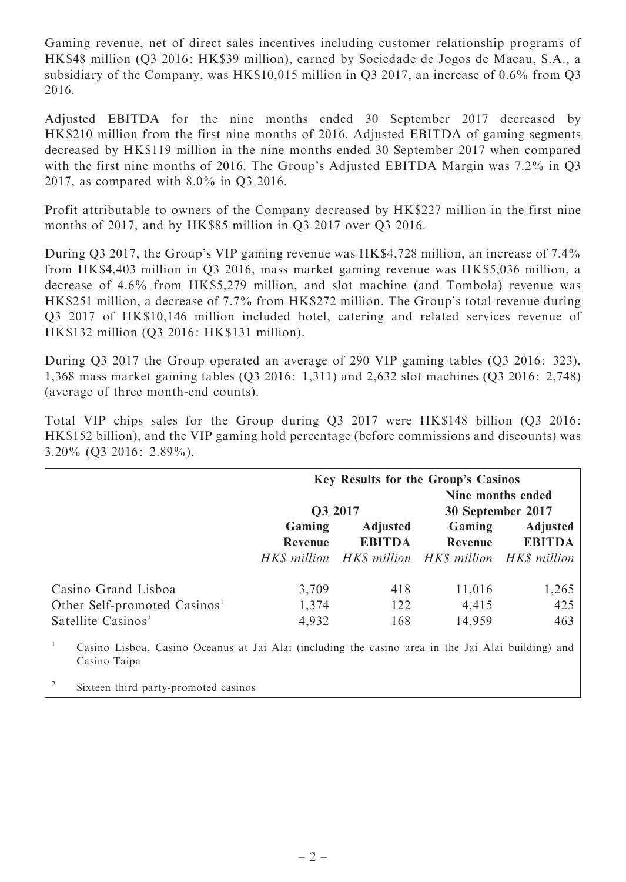Gaming revenue, net of direct sales incentives including customer relationship programs of HK\$48 million (Q3 2016: HK\$39 million), earned by Sociedade de Jogos de Macau, S.A., a subsidiary of the Company, was HK\$10,015 million in Q3 2017, an increase of 0.6% from Q3 2016.

Adjusted EBITDA for the nine months ended 30 September 2017 decreased by HK\$210 million from the first nine months of 2016. Adjusted EBITDA of gaming segments decreased by HK\$119 million in the nine months ended 30 September 2017 when compared with the first nine months of 2016. The Group's Adjusted EBITDA Margin was 7.2% in Q3 2017, as compared with 8.0% in Q3 2016.

Profit attributable to owners of the Company decreased by HK\$227 million in the first nine months of 2017, and by HK\$85 million in Q3 2017 over Q3 2016.

During Q3 2017, the Group's VIP gaming revenue was HK\$4,728 million, an increase of 7.4% from HK\$4,403 million in Q3 2016, mass market gaming revenue was HK\$5,036 million, a decrease of 4.6% from HK\$5,279 million, and slot machine (and Tombola) revenue was HK\$251 million, a decrease of 7.7% from HK\$272 million. The Group's total revenue during Q3 2017 of HK\$10,146 million included hotel, catering and related services revenue of HK\$132 million (Q3 2016: HK\$131 million).

During Q3 2017 the Group operated an average of 290 VIP gaming tables (Q3 2016: 323), 1,368 mass market gaming tables (Q3 2016: 1,311) and 2,632 slot machines (Q3 2016: 2,748) (average of three month-end counts).

Total VIP chips sales for the Group during Q3 2017 were HK\$148 billion (Q3 2016: HK\$152 billion), and the VIP gaming hold percentage (before commissions and discounts) was 3.20% (Q3 2016: 2.89%).

|                                                                                                                          | <b>Key Results for the Group's Casinos</b> |                 |                                                     |                 |
|--------------------------------------------------------------------------------------------------------------------------|--------------------------------------------|-----------------|-----------------------------------------------------|-----------------|
|                                                                                                                          | Nine months ended                          |                 |                                                     |                 |
|                                                                                                                          | Q3 2017                                    |                 | 30 September 2017                                   |                 |
|                                                                                                                          | Gaming                                     | <b>Adjusted</b> | Gaming                                              | <b>Adjusted</b> |
|                                                                                                                          | Revenue                                    | <b>EBITDA</b>   | Revenue                                             | <b>EBITDA</b>   |
|                                                                                                                          |                                            |                 | HK\$ million HK\$ million HK\$ million HK\$ million |                 |
| Casino Grand Lisboa                                                                                                      | 3,709                                      | 418             | 11,016                                              | 1,265           |
| Other Self-promoted Casinos <sup>1</sup>                                                                                 | 1,374                                      | 122             | 4,415                                               | 425             |
| Satellite Casinos <sup>2</sup>                                                                                           | 4,932                                      | 168             | 14,959                                              | 463             |
| -1<br>Casino Lisboa, Casino Oceanus at Jai Alai (including the casino area in the Jai Alai building) and<br>Casino Taipa |                                            |                 |                                                     |                 |

<sup>2</sup> Sixteen third party-promoted casinos